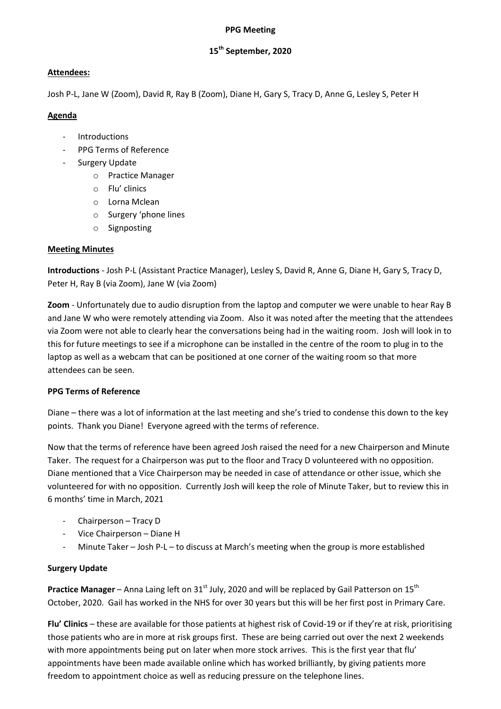#### PPG Meeting

# 15<sup>th</sup> September, 2020

## Attendees:

Josh P-L, Jane W (Zoom), David R, Ray B (Zoom), Diane H, Gary S, Tracy D, Anne G, Lesley S, Peter H

#### Agenda

- **Introductions**
- PPG Terms of Reference
- Surgery Update
	- o Practice Manager
	- o Flu' clinics
	- o Lorna Mclean
	- o Surgery 'phone lines
	- o Signposting

## Meeting Minutes

Introductions - Josh P-L (Assistant Practice Manager), Lesley S, David R, Anne G, Diane H, Gary S, Tracy D, Peter H, Ray B (via Zoom), Jane W (via Zoom)

Zoom - Unfortunately due to audio disruption from the laptop and computer we were unable to hear Ray B and Jane W who were remotely attending via Zoom. Also it was noted after the meeting that the attendees via Zoom were not able to clearly hear the conversations being had in the waiting room. Josh will look in to this for future meetings to see if a microphone can be installed in the centre of the room to plug in to the laptop as well as a webcam that can be positioned at one corner of the waiting room so that more attendees can be seen.

## PPG Terms of Reference

Diane – there was a lot of information at the last meeting and she's tried to condense this down to the key points. Thank you Diane! Everyone agreed with the terms of reference.

Now that the terms of reference have been agreed Josh raised the need for a new Chairperson and Minute Taker. The request for a Chairperson was put to the floor and Tracy D volunteered with no opposition. Diane mentioned that a Vice Chairperson may be needed in case of attendance or other issue, which she volunteered for with no opposition. Currently Josh will keep the role of Minute Taker, but to review this in 6 months' time in March, 2021

- Chairperson Tracy D
- Vice Chairperson Diane H
- Minute Taker Josh P-L to discuss at March's meeting when the group is more established

## Surgery Update

**Practice Manager** – Anna Laing left on 31<sup>st</sup> July, 2020 and will be replaced by Gail Patterson on 15<sup>th</sup> October, 2020. Gail has worked in the NHS for over 30 years but this will be her first post in Primary Care.

Flu' Clinics – these are available for those patients at highest risk of Covid-19 or if they're at risk, prioritising those patients who are in more at risk groups first. These are being carried out over the next 2 weekends with more appointments being put on later when more stock arrives. This is the first year that flu' appointments have been made available online which has worked brilliantly, by giving patients more freedom to appointment choice as well as reducing pressure on the telephone lines.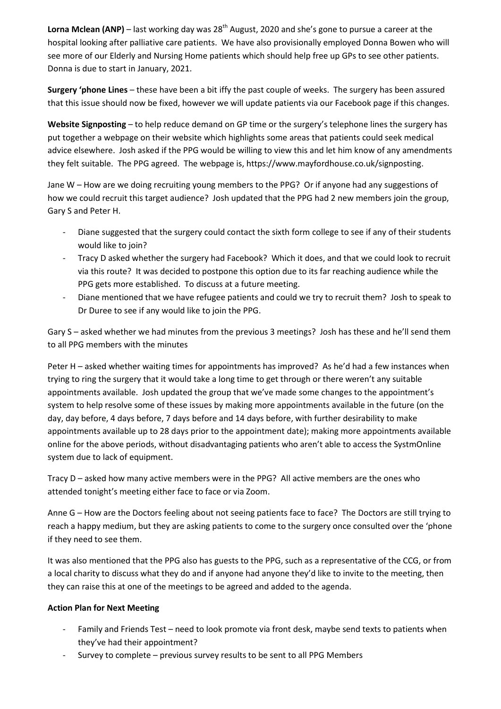Lorna Mclean (ANP) – last working day was  $28<sup>th</sup>$  August, 2020 and she's gone to pursue a career at the hospital looking after palliative care patients. We have also provisionally employed Donna Bowen who will see more of our Elderly and Nursing Home patients which should help free up GPs to see other patients. Donna is due to start in January, 2021.

Surgery 'phone Lines – these have been a bit iffy the past couple of weeks. The surgery has been assured that this issue should now be fixed, however we will update patients via our Facebook page if this changes.

Website Signposting – to help reduce demand on GP time or the surgery's telephone lines the surgery has put together a webpage on their website which highlights some areas that patients could seek medical advice elsewhere. Josh asked if the PPG would be willing to view this and let him know of any amendments they felt suitable. The PPG agreed. The webpage is, https://www.mayfordhouse.co.uk/signposting.

Jane W – How are we doing recruiting young members to the PPG? Or if anyone had any suggestions of how we could recruit this target audience? Josh updated that the PPG had 2 new members join the group, Gary S and Peter H.

- Diane suggested that the surgery could contact the sixth form college to see if any of their students would like to join?
- Tracy D asked whether the surgery had Facebook? Which it does, and that we could look to recruit via this route? It was decided to postpone this option due to its far reaching audience while the PPG gets more established. To discuss at a future meeting.
- Diane mentioned that we have refugee patients and could we try to recruit them? Josh to speak to Dr Duree to see if any would like to join the PPG.

Gary S – asked whether we had minutes from the previous 3 meetings? Josh has these and he'll send them to all PPG members with the minutes

Peter H – asked whether waiting times for appointments has improved? As he'd had a few instances when trying to ring the surgery that it would take a long time to get through or there weren't any suitable appointments available. Josh updated the group that we've made some changes to the appointment's system to help resolve some of these issues by making more appointments available in the future (on the day, day before, 4 days before, 7 days before and 14 days before, with further desirability to make appointments available up to 28 days prior to the appointment date); making more appointments available online for the above periods, without disadvantaging patients who aren't able to access the SystmOnline system due to lack of equipment.

Tracy D – asked how many active members were in the PPG? All active members are the ones who attended tonight's meeting either face to face or via Zoom.

Anne G – How are the Doctors feeling about not seeing patients face to face? The Doctors are still trying to reach a happy medium, but they are asking patients to come to the surgery once consulted over the 'phone if they need to see them.

It was also mentioned that the PPG also has guests to the PPG, such as a representative of the CCG, or from a local charity to discuss what they do and if anyone had anyone they'd like to invite to the meeting, then they can raise this at one of the meetings to be agreed and added to the agenda.

## Action Plan for Next Meeting

- Family and Friends Test need to look promote via front desk, maybe send texts to patients when they've had their appointment?
- Survey to complete previous survey results to be sent to all PPG Members